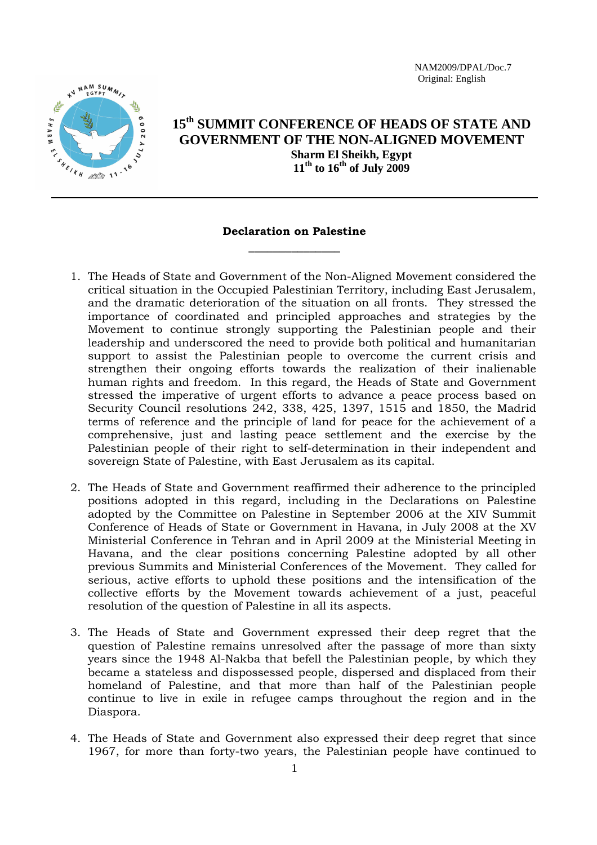NAM2009/DPAL/Doc.7 Original: English



## **15th SUMMIT CONFERENCE OF HEADS OF STATE AND GOVERNMENT OF THE NON-ALIGNED MOVEMENT Sharm El Sheikh, Egypt**   $11<sup>th</sup>$  to  $16<sup>th</sup>$  of July 2009

## **Declaration on Palestine**  \_\_\_\_\_\_\_\_\_\_\_\_\_\_\_

- 1. The Heads of State and Government of the Non-Aligned Movement considered the critical situation in the Occupied Palestinian Territory, including East Jerusalem, and the dramatic deterioration of the situation on all fronts. They stressed the importance of coordinated and principled approaches and strategies by the Movement to continue strongly supporting the Palestinian people and their leadership and underscored the need to provide both political and humanitarian support to assist the Palestinian people to overcome the current crisis and strengthen their ongoing efforts towards the realization of their inalienable human rights and freedom. In this regard, the Heads of State and Government stressed the imperative of urgent efforts to advance a peace process based on Security Council resolutions 242, 338, 425, 1397, 1515 and 1850, the Madrid terms of reference and the principle of land for peace for the achievement of a comprehensive, just and lasting peace settlement and the exercise by the Palestinian people of their right to self-determination in their independent and sovereign State of Palestine, with East Jerusalem as its capital.
- 2. The Heads of State and Government reaffirmed their adherence to the principled positions adopted in this regard, including in the Declarations on Palestine adopted by the Committee on Palestine in September 2006 at the XIV Summit Conference of Heads of State or Government in Havana, in July 2008 at the XV Ministerial Conference in Tehran and in April 2009 at the Ministerial Meeting in Havana, and the clear positions concerning Palestine adopted by all other previous Summits and Ministerial Conferences of the Movement. They called for serious, active efforts to uphold these positions and the intensification of the collective efforts by the Movement towards achievement of a just, peaceful resolution of the question of Palestine in all its aspects.
- 3. The Heads of State and Government expressed their deep regret that the question of Palestine remains unresolved after the passage of more than sixty years since the 1948 Al-Nakba that befell the Palestinian people, by which they became a stateless and dispossessed people, dispersed and displaced from their homeland of Palestine, and that more than half of the Palestinian people continue to live in exile in refugee camps throughout the region and in the Diaspora.
- 4. The Heads of State and Government also expressed their deep regret that since 1967, for more than forty-two years, the Palestinian people have continued to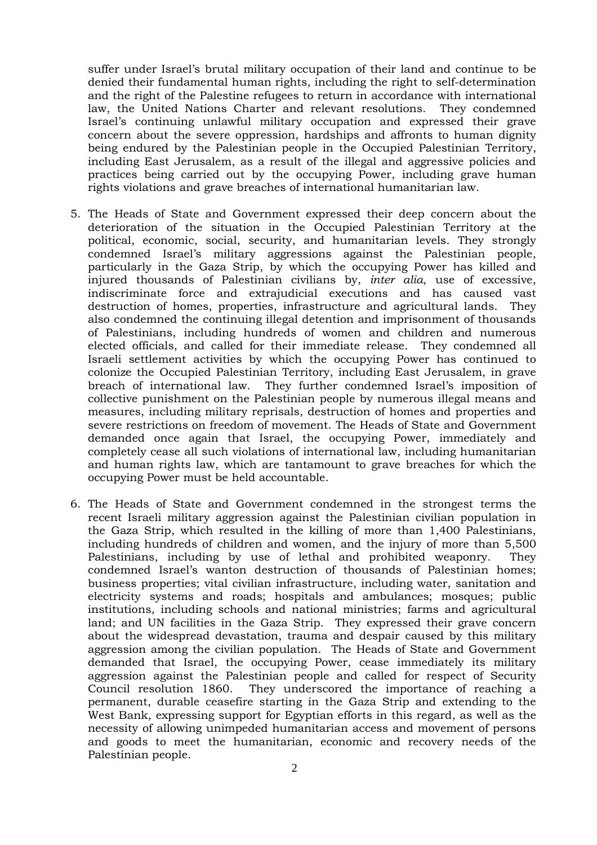suffer under Israel's brutal military occupation of their land and continue to be denied their fundamental human rights, including the right to self-determination and the right of the Palestine refugees to return in accordance with international law, the United Nations Charter and relevant resolutions. They condemned Israel's continuing unlawful military occupation and expressed their grave concern about the severe oppression, hardships and affronts to human dignity being endured by the Palestinian people in the Occupied Palestinian Territory, including East Jerusalem, as a result of the illegal and aggressive policies and practices being carried out by the occupying Power, including grave human rights violations and grave breaches of international humanitarian law.

- 5. The Heads of State and Government expressed their deep concern about the deterioration of the situation in the Occupied Palestinian Territory at the political, economic, social, security, and humanitarian levels. They strongly condemned Israel's military aggressions against the Palestinian people, particularly in the Gaza Strip, by which the occupying Power has killed and injured thousands of Palestinian civilians by, *inter alia*, use of excessive, indiscriminate force and extrajudicial executions and has caused vast destruction of homes, properties, infrastructure and agricultural lands. They also condemned the continuing illegal detention and imprisonment of thousands of Palestinians, including hundreds of women and children and numerous elected officials, and called for their immediate release. They condemned all Israeli settlement activities by which the occupying Power has continued to colonize the Occupied Palestinian Territory, including East Jerusalem, in grave breach of international law. They further condemned Israel's imposition of collective punishment on the Palestinian people by numerous illegal means and measures, including military reprisals, destruction of homes and properties and severe restrictions on freedom of movement. The Heads of State and Government demanded once again that Israel, the occupying Power, immediately and completely cease all such violations of international law, including humanitarian and human rights law, which are tantamount to grave breaches for which the occupying Power must be held accountable.
- 6. The Heads of State and Government condemned in the strongest terms the recent Israeli military aggression against the Palestinian civilian population in the Gaza Strip, which resulted in the killing of more than 1,400 Palestinians, including hundreds of children and women, and the injury of more than 5,500 Palestinians, including by use of lethal and prohibited weaponry. They condemned Israel's wanton destruction of thousands of Palestinian homes; business properties; vital civilian infrastructure, including water, sanitation and electricity systems and roads; hospitals and ambulances; mosques; public institutions, including schools and national ministries; farms and agricultural land; and UN facilities in the Gaza Strip. They expressed their grave concern about the widespread devastation, trauma and despair caused by this military aggression among the civilian population. The Heads of State and Government demanded that Israel, the occupying Power, cease immediately its military aggression against the Palestinian people and called for respect of Security Council resolution 1860. They underscored the importance of reaching a permanent, durable ceasefire starting in the Gaza Strip and extending to the West Bank, expressing support for Egyptian efforts in this regard, as well as the necessity of allowing unimpeded humanitarian access and movement of persons and goods to meet the humanitarian, economic and recovery needs of the Palestinian people.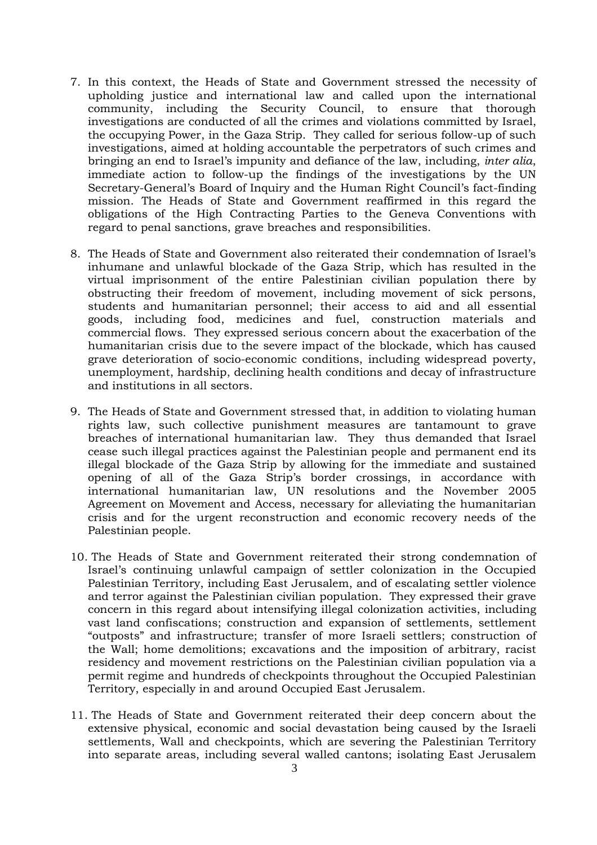- 7. In this context, the Heads of State and Government stressed the necessity of upholding justice and international law and called upon the international community, including the Security Council, to ensure that thorough investigations are conducted of all the crimes and violations committed by Israel, the occupying Power, in the Gaza Strip. They called for serious follow-up of such investigations, aimed at holding accountable the perpetrators of such crimes and bringing an end to Israel's impunity and defiance of the law, including, *inter alia*, immediate action to follow-up the findings of the investigations by the UN Secretary-General's Board of Inquiry and the Human Right Council's fact-finding mission. The Heads of State and Government reaffirmed in this regard the obligations of the High Contracting Parties to the Geneva Conventions with regard to penal sanctions, grave breaches and responsibilities.
- 8. The Heads of State and Government also reiterated their condemnation of Israel's inhumane and unlawful blockade of the Gaza Strip, which has resulted in the virtual imprisonment of the entire Palestinian civilian population there by obstructing their freedom of movement, including movement of sick persons, students and humanitarian personnel; their access to aid and all essential goods, including food, medicines and fuel, construction materials and commercial flows. They expressed serious concern about the exacerbation of the humanitarian crisis due to the severe impact of the blockade, which has caused grave deterioration of socio-economic conditions, including widespread poverty, unemployment, hardship, declining health conditions and decay of infrastructure and institutions in all sectors.
- 9. The Heads of State and Government stressed that, in addition to violating human rights law, such collective punishment measures are tantamount to grave breaches of international humanitarian law. They thus demanded that Israel cease such illegal practices against the Palestinian people and permanent end its illegal blockade of the Gaza Strip by allowing for the immediate and sustained opening of all of the Gaza Strip's border crossings, in accordance with international humanitarian law, UN resolutions and the November 2005 Agreement on Movement and Access, necessary for alleviating the humanitarian crisis and for the urgent reconstruction and economic recovery needs of the Palestinian people.
- 10. The Heads of State and Government reiterated their strong condemnation of Israel's continuing unlawful campaign of settler colonization in the Occupied Palestinian Territory, including East Jerusalem, and of escalating settler violence and terror against the Palestinian civilian population. They expressed their grave concern in this regard about intensifying illegal colonization activities, including vast land confiscations; construction and expansion of settlements, settlement "outposts" and infrastructure; transfer of more Israeli settlers; construction of the Wall; home demolitions; excavations and the imposition of arbitrary, racist residency and movement restrictions on the Palestinian civilian population via a permit regime and hundreds of checkpoints throughout the Occupied Palestinian Territory, especially in and around Occupied East Jerusalem.
- 11. The Heads of State and Government reiterated their deep concern about the extensive physical, economic and social devastation being caused by the Israeli settlements, Wall and checkpoints, which are severing the Palestinian Territory into separate areas, including several walled cantons; isolating East Jerusalem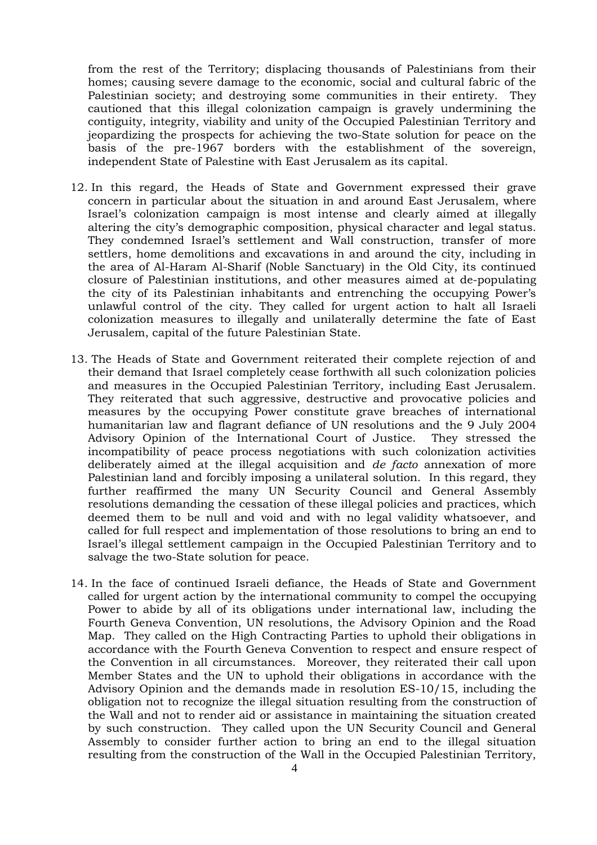from the rest of the Territory; displacing thousands of Palestinians from their homes; causing severe damage to the economic, social and cultural fabric of the Palestinian society; and destroying some communities in their entirety. They cautioned that this illegal colonization campaign is gravely undermining the contiguity, integrity, viability and unity of the Occupied Palestinian Territory and jeopardizing the prospects for achieving the two-State solution for peace on the basis of the pre-1967 borders with the establishment of the sovereign, independent State of Palestine with East Jerusalem as its capital.

- 12. In this regard, the Heads of State and Government expressed their grave concern in particular about the situation in and around East Jerusalem, where Israel's colonization campaign is most intense and clearly aimed at illegally altering the city's demographic composition, physical character and legal status. They condemned Israel's settlement and Wall construction, transfer of more settlers, home demolitions and excavations in and around the city, including in the area of Al-Haram Al-Sharif (Noble Sanctuary) in the Old City, its continued closure of Palestinian institutions, and other measures aimed at de-populating the city of its Palestinian inhabitants and entrenching the occupying Power's unlawful control of the city. They called for urgent action to halt all Israeli colonization measures to illegally and unilaterally determine the fate of East Jerusalem, capital of the future Palestinian State.
- 13. The Heads of State and Government reiterated their complete rejection of and their demand that Israel completely cease forthwith all such colonization policies and measures in the Occupied Palestinian Territory, including East Jerusalem. They reiterated that such aggressive, destructive and provocative policies and measures by the occupying Power constitute grave breaches of international humanitarian law and flagrant defiance of UN resolutions and the 9 July 2004 Advisory Opinion of the International Court of Justice. They stressed the incompatibility of peace process negotiations with such colonization activities deliberately aimed at the illegal acquisition and *de facto* annexation of more Palestinian land and forcibly imposing a unilateral solution. In this regard, they further reaffirmed the many UN Security Council and General Assembly resolutions demanding the cessation of these illegal policies and practices, which deemed them to be null and void and with no legal validity whatsoever, and called for full respect and implementation of those resolutions to bring an end to Israel's illegal settlement campaign in the Occupied Palestinian Territory and to salvage the two-State solution for peace.
- 14. In the face of continued Israeli defiance, the Heads of State and Government called for urgent action by the international community to compel the occupying Power to abide by all of its obligations under international law, including the Fourth Geneva Convention, UN resolutions, the Advisory Opinion and the Road Map. They called on the High Contracting Parties to uphold their obligations in accordance with the Fourth Geneva Convention to respect and ensure respect of the Convention in all circumstances. Moreover, they reiterated their call upon Member States and the UN to uphold their obligations in accordance with the Advisory Opinion and the demands made in resolution ES-10/15, including the obligation not to recognize the illegal situation resulting from the construction of the Wall and not to render aid or assistance in maintaining the situation created by such construction. They called upon the UN Security Council and General Assembly to consider further action to bring an end to the illegal situation resulting from the construction of the Wall in the Occupied Palestinian Territory,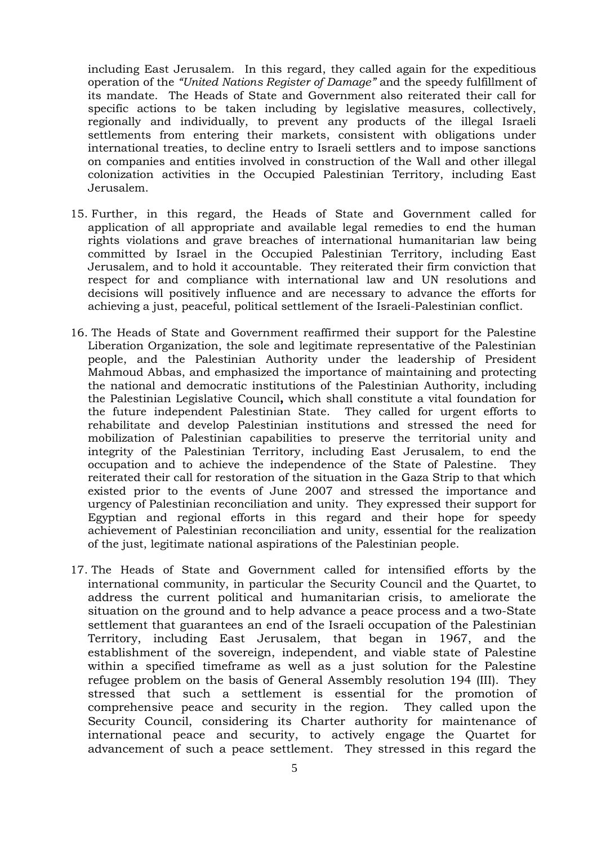including East Jerusalem. In this regard, they called again for the expeditious operation of the *"United Nations Register of Damage"* and the speedy fulfillment of its mandate. The Heads of State and Government also reiterated their call for specific actions to be taken including by legislative measures, collectively, regionally and individually, to prevent any products of the illegal Israeli settlements from entering their markets, consistent with obligations under international treaties, to decline entry to Israeli settlers and to impose sanctions on companies and entities involved in construction of the Wall and other illegal colonization activities in the Occupied Palestinian Territory, including East Jerusalem.

- 15. Further, in this regard, the Heads of State and Government called for application of all appropriate and available legal remedies to end the human rights violations and grave breaches of international humanitarian law being committed by Israel in the Occupied Palestinian Territory, including East Jerusalem, and to hold it accountable. They reiterated their firm conviction that respect for and compliance with international law and UN resolutions and decisions will positively influence and are necessary to advance the efforts for achieving a just, peaceful, political settlement of the Israeli-Palestinian conflict.
- 16. The Heads of State and Government reaffirmed their support for the Palestine Liberation Organization, the sole and legitimate representative of the Palestinian people, and the Palestinian Authority under the leadership of President Mahmoud Abbas, and emphasized the importance of maintaining and protecting the national and democratic institutions of the Palestinian Authority, including the Palestinian Legislative Council**,** which shall constitute a vital foundation for the future independent Palestinian State. They called for urgent efforts to rehabilitate and develop Palestinian institutions and stressed the need for mobilization of Palestinian capabilities to preserve the territorial unity and integrity of the Palestinian Territory, including East Jerusalem, to end the occupation and to achieve the independence of the State of Palestine. They reiterated their call for restoration of the situation in the Gaza Strip to that which existed prior to the events of June 2007 and stressed the importance and urgency of Palestinian reconciliation and unity. They expressed their support for Egyptian and regional efforts in this regard and their hope for speedy achievement of Palestinian reconciliation and unity, essential for the realization of the just, legitimate national aspirations of the Palestinian people.
- 17. The Heads of State and Government called for intensified efforts by the international community, in particular the Security Council and the Quartet, to address the current political and humanitarian crisis, to ameliorate the situation on the ground and to help advance a peace process and a two-State settlement that guarantees an end of the Israeli occupation of the Palestinian Territory, including East Jerusalem, that began in 1967, and the establishment of the sovereign, independent, and viable state of Palestine within a specified timeframe as well as a just solution for the Palestine refugee problem on the basis of General Assembly resolution 194 (III). They stressed that such a settlement is essential for the promotion of comprehensive peace and security in the region. They called upon the Security Council, considering its Charter authority for maintenance of international peace and security, to actively engage the Quartet for advancement of such a peace settlement. They stressed in this regard the